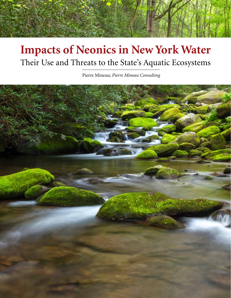# **Impacts of Neonics in New York Water** Their Use and Threats to the State's Aquatic Ecosystems

Pierre Mineau; *Pierre Mineau Consulting*

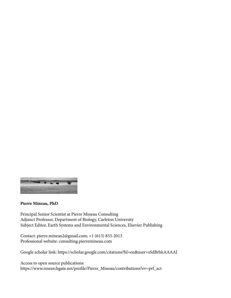

### **Pierre Mineau, PhD**

Principal Senior Scientist at Pierre Mineau Consulting Adjunct Professor, Department of Biology, Carleton University Subject Editor, Earth Systems and Environmental Sciences, Elsevier Publishing

Contact: pierre.mineau2@gmail.com; +1 (613) 853-2013 Professional website: consulting.pierremineau.com

Google scholar link: https://scholar.google.com/citations?hl=en&user=sSdBrhkAAAAJ

Access to open source publications: https://www.researchgate.net/profile/Pierre\_Mineau/contributions?ev=prf\_act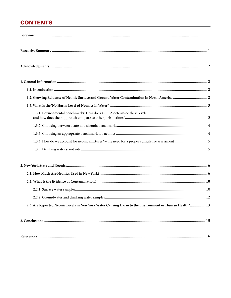# **CONTENTS**

| 1.3.1. Environmental benchmarks: How does USEPA determine these levels                                |
|-------------------------------------------------------------------------------------------------------|
|                                                                                                       |
|                                                                                                       |
|                                                                                                       |
|                                                                                                       |
|                                                                                                       |
|                                                                                                       |
|                                                                                                       |
|                                                                                                       |
|                                                                                                       |
| 2.3. Are Reported Neonic Levels in New York Water Causing Harm to the Environment or Human Health? 13 |
|                                                                                                       |
|                                                                                                       |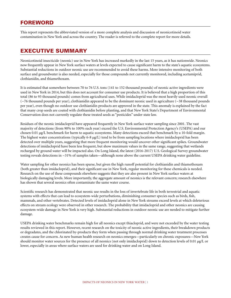# FOREWORD

This report represents the abbreviated version of a more complete analysis and discussion of neonicotinoid water contamination in New York and across the country. The reader is referred to the complete report for more details.

# EXECUTIVE SUMMARY

Neonicotinoid insecticide (neonic) use in New York has increased markedly in the last 15 years, as it has nationwide. Neonics now frequently appear in New York surface waters at levels expected to cause significant harm to the state's aquatic ecosystems. Substantial reductions in outdoor neonic use are recommended to avoid these harms. More intensive monitoring of both surface and groundwater is also needed, especially for those compounds not currently monitored, including acetamiprid, clothianidin, and thiamethoxam.

It is estimated that somewhere between 70 to 76 U.S. tons (141 to 152 thousand pounds) of neonic active ingredients were used in New York in 2014, but this does not account for consumer use products. It is believed that a high proportion of this total (86 to 93 thousand pounds) comes from agricultural uses. While imidacloprid was the most heavily used neonic overall ( $\sim$ 76 thousand pounds per year), clothianidin appeared to be the dominant neonic used in agriculture ( $\sim$ 38 thousand pounds per year), even though no outdoor use clothianidin products are approved in the state. This anomaly is explained by the fact that many crop seeds are coated with clothianidin before planting, and that New York State's Department of Environmental Conservation does not currently regulate these treated seeds as "pesticides" under state law.

Residues of the neonic imidacloprid have appeared frequently in New York surface water sampling since 2001. The vast majority of detections (from 90% to 100% each year) exceed the U.S. Environmental Protection Agency's (USEPA) and our chosen 0.01 µg/L benchmark for harm to aquatic ecosystems. Many detections exceed that benchmark by a 10-fold margin. The highest water concentrations (typically 6-8 µg/L) tend to be from sampling locations where imidacloprid has been detected over multiple years, suggesting that more frequent monitoring would uncover other significant spikes. Groundwater detections of imidacloprid have been less frequent, but show maximum values in the same range, suggesting that wetlands recharged by ground water will be impacted also. On Long Island, the latest (2016-2017) U.S. Geological Survey groundwater testing reveals detections in ~31% of samples taken—although none above the current USEPA drinking water guideline.

Water sampling for other neonics has been sparse, but given the high runoff potential for clothianidin and thiamethoxam (both greater than imidacloprid), and their significant use in New York, regular monitoring for these chemicals is needed. Research on the use of these compounds elsewhere suggests that they are also present in New York surface waters at biologically damaging levels. More importantly, the aggregate amount of neonics is the relevant concern; research elsewhere has shown that several neonics often contaminate the same water course.

Scientific research has demonstrated that neonic use results in the loss of invertebrate life in both terrestrial and aquatic systems with effects that can lead to ecosystem-wide perturbations, diminishing consumer species such as birds, fish, mammals, and other vertebrates. Detected levels of imidacloprid alone in New York streams exceed levels at which deleterious effects on stream ecology were observed in other research. The probability that imidacloprid and other neonics are causing ecosystem-wide damage in New York is very high. Substantial reductions in outdoor neonic use are needed to mitigate further damage.

USEPA drinking water benchmarks remain high for all neonics except thiacloprid, and were not exceeded by the water testing results reviewed in this report. However, recent research on the toxicity of neonic active ingredients, their breakdown products or degradates, and the chlorinated by-products they form when passing through normal drinking water treatment processes creates cause for concern. As new human health research on neonics emerges—particularly on chronic exposures—New York should monitor water sources for the presence of all neonics (not only imidacloprid) down to detection levels of 0.01  $\mu$ g/L or lower, especially in areas where surface waters are used for drinking water and on Long Island.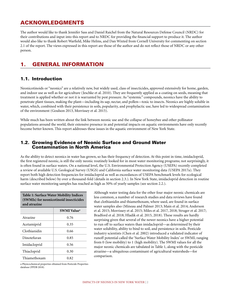## ACKNOWLEDGMENTS

The author would like to thank Jennifer Sass and Daniel Raichel from the Natural Resources Defense Council (NRDC) for their contributions and input into this report and to NRDC for providing the financial support to produce it. The author would also like to thank Robert Warfield, Mike Helms, and Dan Wixted from Cornell University for commenting on section 2.1 of the report. The views expressed in this report are those of the author and do not reflect those of NRDC or any other person.

# 1. GENERAL INFORMATION

### 1.1. Introduction

Neonicotinoids or "neonics" are a relatively new, but widely used, class of insecticides, approved extensively for home, garden, and indoor use as well as for agriculture (Jeschke et al. 2010). They are frequently applied as a coating on seeds, meaning that treatment is applied whether or not it is warranted by pest pressure. As "systemic" compounds, neonics have the ability to penetrate plant tissues, making the plant—including its sap, nectar, and pollen—toxic to insects. Neonics are highly soluble in water, which, combined with their persistence in soils, popularity, and prophylactic use, have led to widespread contamination of the environment (Goulson 2013, Morrissey et al. 2015).

While much has been written about the link between neonic use and the collapse of honeybee and other pollinator populations around the world, their extensive presence in and potential impacts on aquatic environments have only recently become better known. This report addresses these issues in the aquatic environment of New York State.

### 1.2. Growing Evidence of Neonic Surface and Ground Water Contamination in North America

As the ability to detect neonics in water has grown, so has their frequency of detection. At this point in time, imidacloprid, the first registered neonic, is still the only neonic routinely looked for in most water monitoring programs; not surprisingly, it is often found in surface waters. On a national level, the U.S. Environmental Protection Agency (USEPA) recently completed a review of available U.S. Geological Survey (USGS) and California surface water monitoring data (USEPA 2017a). They report both high detection frequencies for imidacloprid as well as exceedances of USEPA benchmark levels for ecological harm (described below) by over a thousand-fold (details in section 2.3.). In New York State, imidacloprid detection in routine surface water monitoring samples has reached as high as 50% of yearly samples (see section 2.2.).

| <b>Table 1: Surface Water Mobility Indices</b><br>(SWMIs) for neonicotinoid insecticides<br>and atrazine |                                |  |  |
|----------------------------------------------------------------------------------------------------------|--------------------------------|--|--|
|                                                                                                          | <b>SWMI</b> Value <sup>a</sup> |  |  |
| Atrazine                                                                                                 | 0.76                           |  |  |
| Acetamiprid                                                                                              | 0.35                           |  |  |
| Clothianidin                                                                                             | 0.66                           |  |  |
| Dinotefuran                                                                                              | 0.85                           |  |  |
| Imidacloprid                                                                                             | 0.56                           |  |  |
| Thiacloprid                                                                                              | 0.30                           |  |  |
| Thiamethoxam                                                                                             | 0.82                           |  |  |

Although water testing data for the other four major neonic chemicals are less common, a number of research studies and data reviews have found that clothianidin and thiamethoxam, where used, are found in surface water samples also (Mineau and Palmer 2013; Main et al. 2014; Anderson et al. 2015; Morrissey et al. 2015; Miles et al. 2017, 2018; Struger et al. 2017; Bradford et al. 2018; Hladik et al. 2015, 2018). These results are hardly surprising given that several of the newer neonics have a higher potential to run off to surface waters than imidacloprid—as determined by their water solubility, ability to bind to soil, and persistence in soils. Pesticide industry scientists (Chen et al. 2002) introduced a validated indicator of runoff potential called the 'Surface Water Mobility Index' or SWMI, ranging from 0 (low mobility) to 1 (high mobility). The SWMI values for all the major neonic chemicals are tabulated in Table 1, along with the pesticide atrazine—a ubiquitous contaminant of agricultural watersheds—for comparison.

a Physicochemical properties obtained from Pesticide Properties database (PPDB 2018).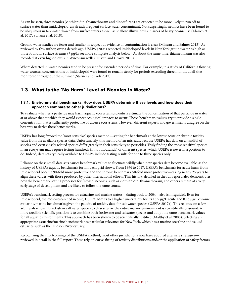As can be seen, three neonics (clothianidin, thiamethoxam and dinotefuran) are expected to be more likely to run off to surface water than imidacloprid, an already frequent surface water contaminant. Not surprisingly, neonics have been found to be ubiquitous in tap water drawn from surface waters as well as shallow alluvial wells in areas of heavy neonic use (Klarich et al. 2017; Sultana et al. 2018).

Ground water studies are fewer and smaller in scope, but evidence of contamination is clear (Mineau and Palmer 2013). As reviewed by this author, over a decade ago, USEPA (2008) reported imidacloprid levels in New York groundwater as high as those found in surface streams (7  $\mu$ g/L; see more complete analysis below). At about the same time, thiamethoxam was also recorded at even higher levels in Wisconsin wells (Huseth and Groves 2013).

Where detected in water, neonics tend to be present for extended periods of time. For example, in a study of California flowing water sources, concentrations of imidacloprid were found to remain steady for periods exceeding three months at all sites monitored throughout the summer (Starner and Goh 2012).

### 1.3. What is the 'No Harm' Level of Neonics in Water?

#### **1.3.1. Environmental benchmarks: How does USEPA determine these levels and how does their approach compare to other jurisdictions?**

To evaluate whether a pesticide may harm aquatic ecosystems, scientists estimate the concentration of that pesticide in water at or above that at which they would expect ecological impacts to occur. These 'benchmark values' try to provide a single concentration that is sufficiently protective of diverse ecosystems. However, different experts and governments disagree on the best way to derive these benchmarks.

USEPA has long favored the 'most sensitive' species method—setting the benchmark at the lowest acute or chronic toxicity value from the available species data. Unfortunately, this method often misleads, because USEPA has data on a handful of species and even closely related species differ greatly in their sensitivity to pesticides. Truly finding the 'most sensitive' species in an ecosystem may require testing hundreds (if not thousands) of different species, which USEPA is never in a position to do. Indeed, data sets typically available to USEPA include testing results for one to three species only.

Reliance on these small data sets causes benchmark values to fluctuate wildly when new species data become available, as the history of USEPA's aquatic benchmark for imidacloprid shows. From 1994 to 2017, USEPA's benchmark for acute harm from imidacloprid became 90-fold more protective and the chronic benchmark 50-fold more protective—taking nearly 25 years to align these values with those produced by other international efforts. This history, detailed in the full report, also demonstrates how the benchmark setting processes for "newer" neonics, such as clothianidin, thiamethoxam, and others remain at a very early stage of development and are likely to follow the same course.

USEPA's benchmark setting process for estuarine and marine waters—dating back to 2004—also is misguided. Even for imidacloprid, the most-researched neonic, USEPA admits to a higher uncertainty for its 16.5 µg/L acute and 0.16 µg/L chronic estuarine/marine benchmarks given the paucity of toxicity data for salt water species (USEPA 2017a). This reliance on a few arbitrarily-chosen brackish or saltwater species to characterize the entire marine environment is scientifically unsound. A more credible scientific position is to combine both freshwater and saltwater species and adopt the same benchmark values for all aquatic environments. This approach has been shown to be scientifically justified (Maltby et al. 2005). Selecting an appropriate estuarine/marine benchmark has particular relevance for New York, which has a marine coastline and valued estuaries such as the Hudson River estuary.

Recognizing the shortcomings of the USEPA method, most other jurisdictions now have adopted alternate strategies reviewed in detail in the full report. These rely on curve-fitting of toxicity distributions and/or the application of safety factors.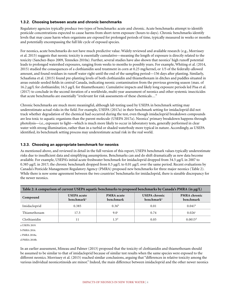#### **1.3.2. Choosing between acute and chronic benchmarks**

Regulatory agencies typically produce two types of benchmarks: acute and chronic. Acute benchmarks attempt to identify pesticide concentrations expected to cause harms from short-term exposure (hours to days). Chronic benchmarks identify levels that may cause harm when organisms are exposed for prolonged periods of time, typically measured in weeks or months and potentially encompassing the full life cycle of exposed species.

For neonics, acute benchmarks do not have much predictive value. Widely reviewed and available research (e.g., Morrissey et al. 2015) suggests that neonic toxicity is essentially cumulative—meaning the length of exposure is directly related to the toxicity (Sanchez-Bayo 2009, Tennekes 2010a). Further, several studies have also shown that neonics' high runoff potential leads to prolonged watershed exposures, ranging from weeks to months to possibly years. For example, Whiting et al. (2014, 2015) studied the consequences of a clothianidin seed treatment in corn at 0.25 mg/kernel, or 1/5 of the federally-allowed amount, and found residues in runoff water right until the end of the sampling period—156 days after planting. Similarly, Schaafsma et al. (2015) found pre-planting levels of both clothianidin and thiamethoxam in ditches and puddles situated in areas outside seeded fields in central Canada, indicating neonic contamination from the previous growing season (max. of 16.2 µg/L for clothianidin; 16.5 µg/L for thiamethoxam). Cumulative impacts and likely long exposure periods led Pisa et al. (2017) to conclude in the second iteration of a worldwide, multi-year assessment of neonics and other systemic insecticides that acute benchmarks are essentially "irrelevant for risk assessments of these chemicals…"

Chronic benchmarks are much more meaningful, although lab testing used by USEPA in benchmark setting may underestimate actual risks in the field. For example, USEPA (2017a) in their benchmark setting for imidacloprid did not track whether degradation of the chemical had occurred during the test, even though imidacloprid breakdown compounds are less toxic to aquatic organisms than the parent molecule (USEPA 2017a). Neonics' primary breakdown happens through photolysis—i.e., exposure to light—which is much more likely to occur in laboratory tests, generally performed in clear water with strong illumination, rather than in a turbid or shaded waterbody more typical in nature. Accordingly, as USEPA identified, its benchmark setting process may underestimate actual risk in the real world.

#### **1.3.3. Choosing an appropriate benchmark for neonics**

As mentioned above, and reviewed in detail in the full version of this report, USEPA benchmark values typically underestimate risks due to insufficient data and simplifying assumptions. Benchmarks can and do shift dramatically as new data become available. For example, USEPA's initial acute freshwater benchmark for imidacloprid dropped from 34.5 µg/L in 2007 to 0.385 µg/L in 2017; the chronic benchmark dropped from 0.5 µg/L to 0.01 µg/L over the same period. Recent evaluations by Canada's Pesticide Management Regulatory Agency (PMRA) proposed new benchmarks for three major neonics (Table 2). While there is now some agreement between the two countries' benchmarks for imidacloprid, there is sizeable discrepancy for the newer neonics.

| Table 2: A comparison of current USEPA aquatic benchmarks to proposed benchmarks by Canada's PMRA (in µg/L) |                                              |                                |                                         |                           |  |  |  |
|-------------------------------------------------------------------------------------------------------------|----------------------------------------------|--------------------------------|-----------------------------------------|---------------------------|--|--|--|
| Compound                                                                                                    | <b>USEPA</b> acute<br>benchmark <sup>a</sup> | <b>PMRA</b> acute<br>benchmark | USEPA chronic<br>benchmark <sup>a</sup> | PMRA chronic<br>benchmark |  |  |  |
| Imidacloprid                                                                                                | 0.385                                        | $0.36^{b}$                     | 0.01                                    | 0.041 <sup>b</sup>        |  |  |  |
| Thiamethoxam                                                                                                | 17.5                                         | 9.0 <sup>c</sup>               | 0.74                                    | 0.026 <sup>c</sup>        |  |  |  |
| Clothianidin                                                                                                |                                              | .5 <sup>d</sup>                | 0.05                                    | $0.0015$ <sup>d</sup>     |  |  |  |

a USEPA 2019.

b PMRA 2016.

c PMRA 2018a.

d PMRA 2018b.

In an earlier assessment, Mineau and Palmer (2013) proposed that the toxicity of clothianidin and thiamethoxam should be assumed to be similar to that of imidacloprid because of similar test results when the same species were exposed to the different neonics. Morrissey et al. (2015) reached similar conclusions, arguing that "differences in relative toxicity among the various individual neonicotinoids are minor." Indeed, the main difference between imidacloprid and the other newer neonics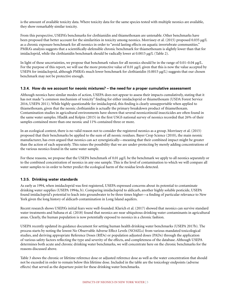is the amount of available toxicity data. Where toxicity data for the same species tested with multiple neonics are available, they show remarkably similar toxicity.

From this perspective, USEPA's benchmarks for clothianidin and thiamethoxam are untenable. Other benchmarks have been proposed that better account for the similarities in toxicity among neonics. Morrissey et al. (2015) proposed 0.035  $\mu$ g/L as a chronic exposure benchmark for all neonics in order to "avoid lasting effects on aquatic invertebrate communities." PMRA's analysis suggests that a scientifically-defensible chronic benchmark for thiamethoxam is slightly lower than that for imidacloprid, while the clothianidin benchmark should be radically lower at  $0.0015 \mu g/L$  (Table 2).

In light of these uncertainties, we propose that benchmark values for all neonics should be in the range of  $0.01-0.04 \mu g/L$ . For the purpose of this report, we will use the more protective value of 0.01  $\mu$ g/L given that this is now the value accepted by USEPA for imidacloprid, although PMRA's much lower benchmark for clothianidin  $(0.0015 \mu g/L)$  suggests that our chosen benchmark may not be protective enough.

#### **1.3.4. How do we account for neonic mixtures? – the need for a proper cumulative assessment**

Although neonics have similar modes of action, USEPA does not appear to assess their impacts cumulatively, stating that it has not made "a common mechanism of toxicity" finding for either imidacloprid or thiamethoxam (USDA Forest Service 2016, USEPA 2011). While highly questionable for imidacloprid, this finding is clearly unsupportable when applied to thiamethoxam, given that the neonic clothianidin is actually the primary breakdown product of thiamethoxam. Contamination studies in agricultural environments have shown that several neonicotinoid insecticides are often found in the same water samples. Hladik and Kolpin (2015) in the first USGS national survey of neonics recorded that 26% of their samples contained more than one neonic and 11% contained three or more.

In an ecological context, there is no valid reason not to consider the registered neonics as a group. Morrissey et al. (2015) proposed that their benchmarks be applied to the sum of all neonic residues. Bayer Crop Science (2010), the main neonic manufacturer, has even argued that neonics can act synergistically—meaning that their combined impact might be greater than the action of each separately. This raises the possibility that we are under-protecting by merely adding concentrations of the various neonics found in the same water sample.

For these reasons, we propose that the USEPA benchmark of 0.01 µg/L be the benchmark we apply to all neonics separately or to the combined concentration of neonics in any one sample. This is the level of contamination to which we will compare all water samples to in order to better predict the ecological harm of the residue levels detected.

#### **1.3.5. Drinking water standards**

As early as 1994, when imidacloprid was first registered, USEPA expressed concerns about its potential to contaminate drinking water supplies (USEPA 1994a, b). Comparing imidacloprid to aldicarb, another highly soluble pesticide, USEPA found imidacloprid's potential to leach into groundwater to be three times higher—a finding of particular relevance to New York given the long history of aldicarb contamination in Long Island aquifers.

Recent research shows USEPA's initial fears were well-founded. Klarich et al. (2017) showed that neonics can survive standard water treatments and Sultana et al. (2018) found that neonics are near ubiquitous drinking water contaminants in agricultural areas. Clearly, the human population is now potentially exposed to neonics in a chronic fashion.

USEPA recently updated its guidance document for setting human health drinking water benchmarks (USEPA 2017b). The process starts by noting the lowest No Observable Adverse Effect Levels (NOAELs) from various mandated toxicological studies, and deriving appropriate Reference Doses (RfDs) or population adjusted doses (PADs) through the application of various safety factors reflecting the type and severity of the effects, and completeness of the database. Although USEPA determines both acute and chronic drinking water benchmarks, we will concentrate here on the chronic benchmarks for the reasons discussed above.

Table 3 shows the chronic or lifetime reference dose or adjusted reference dose as well as the water concentration that should not be exceeded in order to remain below this lifetime dose. Included in the table are the toxicology endpoints (adverse effects) that served as the departure point for these drinking water benchmarks.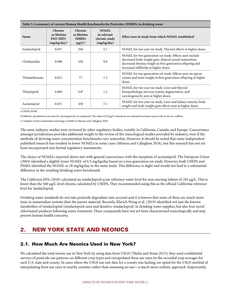| Table 3: A summary of current Human Health Benchmarks for Pesticides (HHBPs) in drinking water |                                                        |                                                         |                                                             |                                                                                                                                                                                                                           |  |
|------------------------------------------------------------------------------------------------|--------------------------------------------------------|---------------------------------------------------------|-------------------------------------------------------------|---------------------------------------------------------------------------------------------------------------------------------------------------------------------------------------------------------------------------|--|
| Name                                                                                           | Chronic<br>or lifetime<br>PAD (RfD)<br>$(mg/kg/day)^a$ | Chronic<br>or lifetime<br><b>HHBPs</b><br>$(\mu g/L)^a$ | <b>NOAEL</b><br>in relevant<br>chronic study<br>(mg/kg/day) | Effect seen in study from which NOAEL established <sup>c</sup>                                                                                                                                                            |  |
| Imidacloprid                                                                                   | 0.057                                                  | 360                                                     | 5.7                                                         | NOAEL for two year rat study. Thyroid effects at higher doses.                                                                                                                                                            |  |
| Clothianidin                                                                                   | 0.098                                                  | 630                                                     | 9.8                                                         | NOAEL for two generation rat study. Effects seen include<br>decreased body weight gain, delayed sexual maturation,<br>decreased thymus weight in first generation offspring and<br>increased stillbirths at higher doses. |  |
| Thiamethoxam                                                                                   | 0.012                                                  | 77                                                      | 1.2                                                         | NOAEL for two generation rat study. Effects seen on sperm<br>counts and testis weight in first generation offspring at higher<br>doses.                                                                                   |  |
| Thiacloprid                                                                                    | 0.004                                                  | 0.8 <sup>b</sup>                                        | 1.2                                                         | NOAEL for two year rat study. Liver and thyroid<br>histopathology, nervous system degeneration, and<br>carcinogenicity seen at higher doses.                                                                              |  |
| Acetamiprid                                                                                    | 0.071                                                  | 450                                                     | 7.1                                                         | NOAEL for two year rat study. Liver and kidney toxicity, body<br>weight and body weight gain effects seen at higher doses.                                                                                                |  |

a USEPA 2019b.

b Different calculation to account for carcinogenicity of compound. The value of 0.8 µg/L is based on an estimated increased cancer risk of one in a million.

c Complete review mammalian toxicology available in Mineau and Callaghan 2018.

The same industry studies were reviewed by other regulatory bodies, notably in California, Canada, and Europe. Concurrence amongst jurisdictions provides additional weight to the review of the toxicological studies provided by industry, even if the methods of deriving water concentration benchmarks vary somewhat. However, it should be noted that some independent published research has resulted in lower NOAELs in some cases (Mineau and Callaghan 2018), but this research has not yet been incorporated into formal regulatory assessments.

The choice of NOAELs reported above met with general concurrence with the exception of acetamiprid. The European Union (2004) identified a slightly lower NOAEL of 6.5 mg/kg/day based on a two generation rat study. However, both USEPA and PMRA identified the NOAEL as 18 mg/kg/day in the same study. This difference is slight and would not lead to a substantial difference in the resulting drinking water benchmark.

The California EPA (2018) calculated an imidacloprid acute reference water level for non-nursing infants of 283 µg/L. This is lower than the 360 µg/L level chronic calculated by USEPA. They recommended using this as the official California reference level for imidacloprid.

Drinking water standards do not take pesticide degradates into account and it is known that some of these are much more toxic to mammalian systems than the parent material. Recently, Klarich Wong et al. (2019) identified not just the known metabolites of imidacloprid (imidacloprid-urea and desnitro-imidacloprid) in drinking water supplies, but also four novel chlorinated products following water treatment. These compounds have not yet been characterized toxicologically and may present human health concerns.

# 2. NEW YORK STATE AND NEONICS

### 2.1. How Much Are Neonics Used in New York?

We calculated the total neonic use in New York by using data from USGS (Thelin and Stone 2013); they used confidential surveys of pesticide use patterns on different crop types and extrapolated these use rates by the recorded crop acreages for each U.S. state and county. In cases where the USGS use rate data for a county was lacking, we opted for the USGS method of interpolating from use rates in nearby counties rather than assuming no use—a much more realistic approach. Importantly,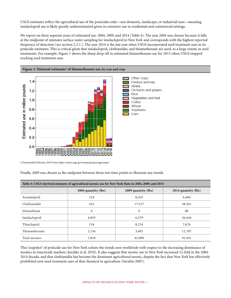USGS estimates reflect the agricultural use of the pesticides only—not domestic, landscape, or industrial uses—meaning imidacloprid use is likely greatly underestimated given its extensive use in residential and commercial settings.

We report on three separate years of estimated use: 2004, 2009, and 2014 (Table 4). The year 2004 was chosen because it falls at the midpoint of intensive surface water sampling for imidacloprid in New York and corresponds with the highest reported frequency of detection (see section 2.2.1.). The year 2014 is the last year when USGS incorporated seed treatment uses in its pesticide estimates. This is critical given that imidacloprid, clothianidin, and thiamethoxam are used, to a large extent, in seed treatments. For example, Figure 1 shows the sharp drop off in estimated thiamethoxam use for 2015 when USGS stopped tracking seed treatment uses.



a Downloaded February 2019 from: [https://water.usgs.gov/nawqa/pnsp/usage/maps/.](https://water.usgs.gov/nawqa/pnsp/usage/maps/)

| Table 4: USGS-derived estimates of agricultural neonic use for New York State in 2004, 2009, and 2014 |                                            |              |                     |  |  |
|-------------------------------------------------------------------------------------------------------|--------------------------------------------|--------------|---------------------|--|--|
|                                                                                                       | 2004 quantity (lbs)<br>2009 quantity (lbs) |              | 2014 quantity (lbs) |  |  |
| Acetamiprid                                                                                           | 218                                        | 8,265        | 6,464               |  |  |
| Clothianidin                                                                                          | 432                                        | 17,317       | 38,561              |  |  |
| Dinotefuran                                                                                           | $\mathbf{0}$                               | $\mathbf{0}$ | 88                  |  |  |
| Imidacloprid                                                                                          | 4,855                                      | 6,279        | 26,444              |  |  |
| Thiacloprid                                                                                           | 154                                        | 8,234        | 7,676               |  |  |
| Thiamethoxam                                                                                          | 2,156                                      | 3,893        | 12,707              |  |  |
| Total neonics                                                                                         | 7,818                                      | 43,989       | 91,941              |  |  |

Finally, 2009 was chosen as the midpoint between those two time points to illustrate any trends.

This 'snapshot' of pesticide use for New York echoes the trends seen worldwide with respect to the increasing dominance of neonics in insecticide markets (Jeschke et al. 2010). It also suggests that neonic use in New York increased 12-fold in the 2004- 2014 decade, and that clothianidin has become the dominant agricultural neonic, despite the fact that New York has effectively prohibited non-seed treatment uses of that chemical in agriculture (Serafini 2007).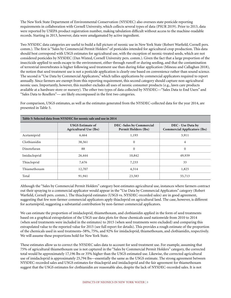The New York State Department of Environmental Conservation (NYSDEC) also oversees state pesticide reporting requirements in collaboration with Cornell University, which collects several types of data (PSUR 2019). Prior to 2013, data were reported by USEPA product registration number, making tabulation difficult without access to the machine-readable records. Starting in 2013, however, data were amalgamated by active ingredient.

Two NYSDEC data categories are useful to build a full picture of neonic use in New York State (Robert Warfield, Cornell pers. comm.). The first is "Sales by Commercial Permit Holders" of pesticides intended for agricultural crop production. This data should best correspond with USGS estimates for agricultural use, with the exception of neonic-treated seeds, which are not considered pesticides by NYSDEC (Dan Wixted, Cornell University pers. comm.). Given the fact that a large proportion of the insecticide applied to seeds escape to the environment, either through runoff or during seeding, and that the contamination of terrestrial invertebrates is higher following seed treatment use than during foliar application (Mineau and Callaghan 2018), the notion that seed treatment use is not a pesticide application is clearly one based on convenience rather than sound science. The second is "Use Data by Commercial Applicators," which tallies applications by commercial applicators required to report annually. Since farmers are exempt from this reporting requirement, this second category should capture non-agricultural neonic uses. Importantly, however, this number excludes all uses of neonic consumer products (e.g., lawn care products available at a hardware store or nursery). The other two types of data collected by NYSDEC—"Sales Data to End Users" and "Sales Data to Resellers"— are likely encompassed in the first two categories.

For comparison, USGS estimates, as well as the estimates generated from the NYSDEC-collected data for the year 2014, are presented in Table 5.

| Table 5: Selected data from NYSDEC for neonic sale and use in 2014 |                                                   |                                                         |                                                          |  |  |  |
|--------------------------------------------------------------------|---------------------------------------------------|---------------------------------------------------------|----------------------------------------------------------|--|--|--|
|                                                                    | <b>USGS Estimate of</b><br>Agricultural Use (lbs) | <b>DEC</b> -Sales by Commercial<br>Permit Holders (lbs) | DEC - Use Data by<br><b>Commercial Applicators (lbs)</b> |  |  |  |
| Acetamiprid                                                        | 6,464                                             | 1,193                                                   | 3,911                                                    |  |  |  |
| Clothianidin                                                       | 38,561                                            | $\mathbf{0}$                                            | 4                                                        |  |  |  |
| Dinotefuran                                                        | 88                                                | $\mathbf{0}$                                            | $\mathbf{0}$                                             |  |  |  |
| Imidacloprid                                                       | 26,444                                            | 10,842                                                  | 49,939                                                   |  |  |  |
| Thiacloprid                                                        | 7,676                                             | 7,233                                                   | 33                                                       |  |  |  |
| Thiamethoxam                                                       | 12,707                                            | 4,314                                                   | 1,825                                                    |  |  |  |
| Total                                                              | 91,941                                            | 23,583                                                  | 55,713                                                   |  |  |  |

Although the "Sales by Commercial Permit Holders" category best estimates agricultural use, instances where farmers contract out their spraying to a commercial applicator would appear in the "Use Data by Commercial Applicators" category (Robert Warfield, Cornell pers. comm.). The thiacloprid estimates (USGS vs. NYSDEC-recorded sales) are in good agreement, suggesting that few non-farmer commercial applicators apply thiacloprid on agricultural land. The case, however, is different for acetamiprid, suggesting a substantial contribution by non-farmer commercial applicators.

We can estimate the proportion of imidacloprid, thiamethoxam, and clothianidin applied in the form of seed treatments based on a graphical extrapolation of the USGS use data plots for those chemicals used nationwide from 2010 to 2014 (when seed treatments were included in the estimates) to 2015 (when seed treatments were excluded) and comparing this extrapolated value to the reported value for 2015 (see full report for details). This provides a rough estimate of the proportion of the chemicals used in seed treatments–58%, 75%, and 92% for imidacloprid, thiamethoxam, and clothianidin, respectively. We will assume these proportions hold for New York State.

These estimates allow us to correct the NYSDEC sales data to account for seed treatment use. For example, assuming that 75% of agricultural thiamethoxam use is not captured in the "Sales by Commercial Permit Holders" category, the corrected total would be approximately 17,196 lbs or 35% higher than the USGS estimated use. Likewise, the corrected agricultural use of imidacloprid is approximately 25,794 lbs—essentially the same as the USGS estimate. The strong agreement between NYSDEC-recorded sales and USGS estimates for thiacloprid and imidacloprid and the fair agreement for thiamethoxam suggest that the USGS estimates for clothianidin are reasonable also, despite the lack of NYSDEC-recorded sales. It is not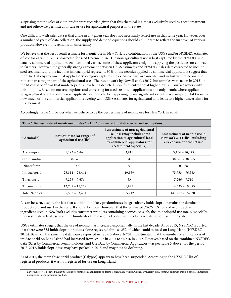surprising that no sales of clothianidin were recorded given that this chemical is almost exclusively used as a seed treatment and not otherwise permitted for sale or use for agricultural purposes in the state.

One difficulty with sales data is that a sale in any given year does not necessarily reflect use in that same year. However, over a number of years of data collection, the supply and demand equations should equilibrate to reflect the turnover of various products. However, this remains an uncertainty.

We believe that the best overall estimate for neonic use in New York is a combination of the USGS and/or NYSDEC estimates of sale for agricultural use corrected for seed treatment use. The non-agricultural use is best captured by the NYSDEC use data by commercial applicators. As mentioned earlier, some of these applicators might be applying the pesticides on contract to farmers. However, the generally strong agreement between USGS estimates and NYSDEC sales data corrected to include seed treatments and the fact that imidacloprid represents 90% of the neonics applied by commercial applicators suggest that the "Use Data by Commercial Applicators" category captures the extensive turf, ornamental, and industrial site neonic use rather than a major part of the agricultural use.<sup>1</sup> The recent work by Nowell et al. (2017; but samples were taken in 2013) in the Midwest confirms that imidacloprid is now being detected more frequently and at higher levels in surface waters with urban inputs. Based on our assumptions and correcting for seed treatment applications, the only neonic where application to agricultural land by commercial applicators appears to be happening to any significant extent is acetamiprid. Not knowing how much of the commercial applications overlap with USGS estimates for agricultural land leads to a higher uncertainty for this chemical.

| Table 6: Best estimates of neonic use for New York in 2014 (see text for data sources and assumptions) |                                                       |                                                                                                                                                                   |                                                                                             |  |  |  |
|--------------------------------------------------------------------------------------------------------|-------------------------------------------------------|-------------------------------------------------------------------------------------------------------------------------------------------------------------------|---------------------------------------------------------------------------------------------|--|--|--|
| Chemical(s)                                                                                            | Best estimate (or range) of<br>agricultural use (lbs) | Best estimate of non-agricultural<br>use (lbs) (may include some<br>application to agricultural land<br>by commercial applicators, for<br>acetamiprid especially) | Best estimate of neonic use in<br>New York 2014 (lbs) excluding<br>any consumer product use |  |  |  |
| Acetamiprid                                                                                            | $1,193 - 6,464$                                       | 3,911                                                                                                                                                             | $5,104 - 10,375$                                                                            |  |  |  |
| Clothianidin                                                                                           | 38,561                                                | 4                                                                                                                                                                 | $38,561 - 38,565$                                                                           |  |  |  |
| Dinotefuran                                                                                            | $0 - 88$                                              | $\mathbf{0}$                                                                                                                                                      | $0 - 88$                                                                                    |  |  |  |
| Imidacloprid                                                                                           | $25,814 - 26,444$                                     | 49,939                                                                                                                                                            | $75,753 - 76,383$                                                                           |  |  |  |
| Thiacloprid                                                                                            | $7,233 - 7,676$                                       | 33                                                                                                                                                                | $7,266 - 7,710$                                                                             |  |  |  |
| Thiamethoxam                                                                                           | $12,707 - 17,258$                                     | 1,825                                                                                                                                                             | $14,533 - 19,083$                                                                           |  |  |  |
| <b>Total Neonics</b>                                                                                   | $85,508 - 93,491$                                     | 55,712                                                                                                                                                            | $141,217 - 152,205$                                                                         |  |  |  |

Accordingly, Table 6 provides what we believe to be the best estimate of neonic use for New York in 2014.

As can be seen, despite the fact that clothianidin likely predominates in agriculture, imidacloprid remains the dominant product sold and used in the state. It should be noted, however, that the estimated 70-76 U.S. tons of neonic active ingredient used in New York excludes consumer products containing neonics. As such, the imidacloprid use totals, especially, underestimate actual use given the hundreds of imidacloprid consumer products registered for use in the state.

USGS estimates suggest that the use of neonics has increased exponentially in the last decade. As of 2015, NYSDEC reported that there were 335 imidacloprid products alone registered for use, 252 of which could be used on Long Island (NYSDEC 2015). Based on the same use data source reported in Table 5 above, NYSDEC estimated that the number of applications of imidacloprid on Long Island had increased from 39,007 in 2003 to 46,316 in 2012. However, based on the combined NYSDEC data (Sales by Commercial Permit holders; and Use Data by Commercial Applicators—as per Table 5 above) for the period 2013-2016, imidacloprid use may have peaked in 2015 and may now be declining.

As of 2017, the main thiacloprid product (Calypso) appears to have been suspended. According to the NYSDEC list of registered products, it was not registered for use on Long Island.

<sup>1</sup> Nevertheless, it is believed that applications by commercial applicators on farms is high (Dan Wixted, Cornell University, pers. comm.), although this is a general impression not specific to any particular product.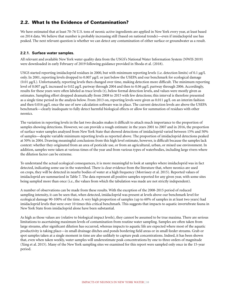### 2.2. What Is the Evidence of Contamination?

We have estimated that at least 70-76 U.S. tons of neonic active ingredients are applied in New York every year, at least based on 2014 data. We believe that number is probably increasing still (based on national trends)—even if imidacloprid use has peaked. The next relevant question is whether we can detect any contamination of either surface or groundwater as a result.

#### **2.2.1. Surface water samples.**

All relevant and available New York water quality data from the USGS's National Water Information System (NWIS 2019) were downloaded in early February of 2019 following guidance provided in Shoda et al. (2018).

USGS started reporting imidacloprid residues in 2000, but with minimum reporting levels (i.e. detection limits) of 0.1  $\mu g/L$ only. In 2001, reporting levels dropped to 0.007 µg/L or just below the USEPA and our benchmark for ecological damage (0.01 µg/L). Unfortunately, reporting levels then changed over time, making detection more difficult. The minimum reporting level of 0.007 μg/L increased to 0.02 μg/L partway through 2004 and then to 0.06 μg/L partway through 2006. Accordingly, results for these years were often labeled as trace levels (t), below formal detection levels, and values were mostly given as estimates. Sampling effort dropped dramatically from 2008 to 2015 with few detections; this interval is therefore presented as a single time period in the analysis below. From 2013 on, reporting levels were given as 0.011 µg/L on an interim fashion and then 0.016  $\mu$ g/L once the use of new calculation software was in place. The current detection levels are above the USEPA benchmark—clearly inadequate to fully detect harmful biological effects or allow for summation of residues with other neonics.

The variation in reporting levels in the last two decades makes it difficult to attach much importance to the proportion of samples showing detections. However, we can provide a rough estimate: in the years 2001 to 2007 and in 2016, the proportion of surface water samples analyzed from New York State that showed detections of imidacloprid varied between 15% and 50% of samples—despite variable minimum reporting levels as reported above. The proportion of imidacloprid detections peaked at 50% in 2004. Drawing meaningful conclusions from this high level estimate, however, is difficult because the samples lack context: whether they originated from an area of pesticide use, or from an agricultural, urban, or mixed use environment. In addition, samples were taken at various times of the year and from various types of waterbodies, including large rivers where the dilution factor can be extreme.

To understand the actual ecological consequences, it is more meaningful to look at samples where imidacloprid was in fact detected, indicating some use in the watershed. There is clear evidence from the literature that, where neonics are used on crops, they will be detected in nearby bodies of water at a high frequency (Morrissey et al. 2015). Reported values of imidacloprid are summarized in Table 7. The data represent all positive samples reported for any given year, with some sites being sampled more than once (i.e., the values from which the tabulation was made are not strictly independent).

A number of observations can be made from these results. With the exception of the 2008-2015 period of reduced sampling intensity, it can be seen that, when detected, imidacloprid was present at levels above our benchmark level for ecological damage 90-100% of the time. A very high proportion of samples (up to 60% of samples in at least two years) had imidacloprid levels that were over 10 times this critical benchmark. This suggests that impacts to aquatic invertebrate fauna in New York State from imidacloprid alone have been substantial.

As high as those values are (relative to biological impact levels), they cannot be assumed to be true maxima. There are serious limitations to ascertaining maximum levels of contamination from routine water sampling. Samples are often taken from large streams, after significant dilution has occurred, whereas impacts to aquatic life are expected where most of the aquatic productivity is taking place—in small drainage ditches and ponds bordering field areas or in small feeder streams. Grab or spot samples taken at a single moment in time are also unlikely to capture peak concentrations. Indeed, it has been shown that, even when taken weekly, water samples will underestimate peak concentrations by one to three orders of magnitude (Xing et al. 2015). Many of the New York sampling sites we examined for this report were sampled only once in the 15-year period.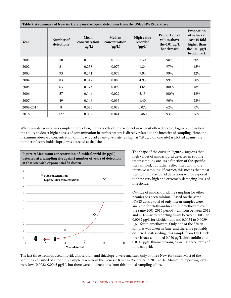| Table 7: A summary of New York State imidacloprid detections from the USGS NWIS database |                         |                                      |                                        |                                              |                                                                  |                                                                                               |  |
|------------------------------------------------------------------------------------------|-------------------------|--------------------------------------|----------------------------------------|----------------------------------------------|------------------------------------------------------------------|-----------------------------------------------------------------------------------------------|--|
| Year                                                                                     | Number of<br>detections | Mean<br>concentration<br>$(\mu g/L)$ | Median<br>concentration<br>$(\mu g/L)$ | <b>High value</b><br>recorded<br>$(\mu g/L)$ | Proportion of<br>values above<br>the $0.01 \mu g/L$<br>benchmark | Proportion<br>of values at<br>least 10 fold<br>higher than<br>the $0.01 \mu g/L$<br>benchmark |  |
| 2001                                                                                     | 50                      | 0.197                                | 0.132                                  | 1.30                                         | 98%                                                              | 60%                                                                                           |  |
| 2002                                                                                     | 31                      | 0.238                                | 0.077                                  | 1.84                                         | 97%                                                              | 45%                                                                                           |  |
| 2003                                                                                     | 93                      | 0.271                                | 0.074                                  | 7.94                                         | 99%                                                              | 42%                                                                                           |  |
| 2004                                                                                     | 83                      | 0.347                                | 0.085                                  | 4.93                                         | 99%                                                              | 60%                                                                                           |  |
| 2005                                                                                     | 63                      | 0.373                                | 0.092                                  | 4.64                                         | 100%                                                             | 48%                                                                                           |  |
| 2006                                                                                     | 57                      | 0.144                                | 0.029                                  | 5.13                                         | 100%                                                             | 12%                                                                                           |  |
| 2007                                                                                     | 49                      | 0.146                                | 0.033                                  | 1.40                                         | 90%                                                              | 22%                                                                                           |  |
| 2008-2015                                                                                | 8                       | 0.025                                | 0.018                                  | 0.073                                        | 62%                                                              | $0\%$                                                                                         |  |
| 2016                                                                                     | 122                     | 0.082                                | 0.041                                  | 0.460                                        | 93%                                                              | 26%                                                                                           |  |

Where a water source was sampled more often, higher levels of imidacloprid were most often detected. Figure 2 shows how the ability to detect higher levels of contamination in surface waters is directly related to the intensity of sampling. Here, the maximum observed concentration of imidacloprid at any given site (as high as 7.9 µg/L on one site) is plotted against the number of years imidacloprid was detected at that site.





The shape of the curve in Figure 2 suggests that high values of imidacloprid detected in routine water sampling are less a function of the specific site sampled, but rather, reflect sites with more intensive sampling. If correct, this means that most sites with imidacloprid detections will be exposed to these very high and extremely damaging levels of insecticide.

Outside of imidacloprid, the sampling for other neonics has been minimal. Based on the same NWIS data, a total of only fifteen samples were analyzed for clothianidin and thiamethoxam over the same 2001-2016 period—all from between 2012 and 2016—with reporting limits between 0.0039 to 0.0062 µg/L for clothianidin and 0.0034 to 0.0039 µg/L for thiamethoxam. Only one of the fifteen samples was taken in June, and therefore probably occurred post-seeding; this sample from Fall Creek near Ithaca contained 0.020 µg/L clothianidin and 0.0119 µg/L thiamethoxam, as well as trace levels of imidacloprid.

The last three neonics, acetamiprid, dinotefuran, and thiacloprid were analyzed only at three New York sites. Most of the sampling consisted of a monthly sample taken from the Genesee River in Rochester in 2015-2016. Minimum reporting levels were low (0.0032-0.0045 µg/L), but there were no detections from this limited sampling effort.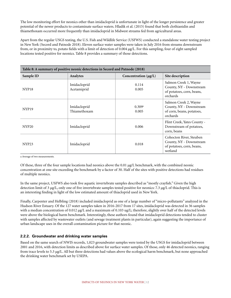The low monitoring effort for neonics other than imidacloprid is unfortunate in light of the longer persistence and greater potential of the newer products to contaminate surface waters. Hladik et al. (2015) found that both clothianidin and thiamethoxam occurred more frequently than imidacloprid in Midwest streams fed from agricultural areas.

Apart from the regular USGS testing, the U.S. Fish and Wildlife Service (USFWS) conducted a standalone water testing project in New York (Secord and Patnode 2018). Eleven surface water samples were taken in July 2016 from streams downstream from, or in proximity to, potato fields with a limit of detection of 0.004 µg/L. For this sampling, four of eight sampled locations tested positive for neonics. Table 8 provides a summary of those detections.

| Table 8: A summary of positive neonic detections in Secord and Patnode (2018) |                              |                           |                                                                                            |  |  |
|-------------------------------------------------------------------------------|------------------------------|---------------------------|--------------------------------------------------------------------------------------------|--|--|
| Sample ID                                                                     | Analytes                     | Concentration $(\mu g/L)$ | Site description                                                                           |  |  |
| NYP <sub>18</sub>                                                             | Imidacloprid<br>Acetamiprid  | 0.114<br>0.005            | Salmon Creek 1, Wayne<br>County, NY - Downstream<br>of potatoes, corn, beans,<br>orchards  |  |  |
| NYP <sub>19</sub>                                                             | Imidacloprid<br>Thiamethoxam | 0.309a<br>0.005           | Salmon Creek 2, Wayne<br>County, NY - Downstream<br>of corn, beans, potatoes,<br>orchards  |  |  |
| NYP <sub>20</sub>                                                             | Imidacloprid                 | 0.006                     | Flint Creek, Yates County -<br>Downstream of potatoes,<br>corn, beans                      |  |  |
| NYP <sub>23</sub>                                                             | Imidacloprid                 | 0.018                     | Cohocton River, Steuben<br>County, NY - Downstream<br>of potatoes, corn, beans,<br>wetland |  |  |

a Average of two measurements.

Of these, three of the four sample locations had neonics above the 0.01 µg/L benchmark, with the combined neonic concentration at one site exceeding the benchmark by a factor of 30. Half of the sites with positive detections had residues of multiple neonics.

In the same project, USFWS also took five aquatic invertebrate samples described as "mostly crayfish." Given the high detection limit of 3 µg/L, only one of five invertebrate samples tested positive for neonics: 7.3 µg/L of thiacloprid. This is an interesting finding in light of the low estimated amount of thiacloprid used in New York.

Finally, Carpenter and Helbling (2018) included imidacloprid as one of a large number of "micro-pollutants" analyzed in the Hudson River Estuary. Of the 127 water samples taken in 2016-2017 from 17 sites, imidacloprid was detected in 36 samples with a median concentration of 0.012 µg/L and a maximum of 0.103 ug/L; therefore, slightly over half of the detected levels were above the biological harm benchmark. Interestingly, these authors found that imidacloprid detections tended to cluster with samples affected by wastewater outlets (and sewage treatment plants in particular), again suggesting the importance of urban landscape uses in the overall contamination picture for that neonic.

#### **2.2.2. Groundwater and drinking water samples**

Based on the same search of NWIS records, 1,023 groundwater samples were tested by the USGS for imidacloprid between 2001 and 2016, with detection limits as described above for surface water samples. Of those, only 46 detected neonics, ranging from trace levels to 5.3 µg/L. All but three detections had values above the ecological harm benchmark, but none approached the drinking water benchmark set by USEPA.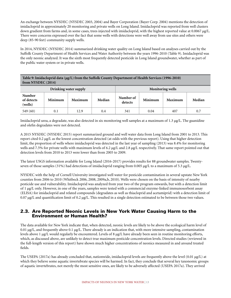An exchange between NYSDEC (NYSDEC 2003, 2004) and Bayer Corporation (Bayer Corp. 2004) mentions the detection of imidacloprid in approximately 20 monitoring and private wells on Long Island. Imidacloprid was reported from well clusters down gradient from farms and, in some cases, trees injected with imidacloprid, with the highest reported value at 0.0067 µg/L. There were concerns expressed over the fact that some wells with detections were well away from use sites and others were deep (85-90 feet) community supply wells.

In 2014, NYSDEC (NYSDEC 2014) summarized drinking water quality on Long Island based on analyses carried out by the Suffolk County Department of Health Services and Water Authority between the years 1996-2010 (Table 9). Imidacloprid was the only neonic analyzed. It was the sixth most frequently detected pesticide in Long Island groundwater, whether as part of the public water system or in private wells.

#### **Table 9: Imidacloprid data (µg/L) from the Suffolk County Department of Health Services (1996-2010) from NYSDEC (2014)**

| Drinking water supply           |           |         |        |                      | <b>Monitoring wells</b> |         |        |
|---------------------------------|-----------|---------|--------|----------------------|-------------------------|---------|--------|
| Number<br>of detects<br>(wells) | Minimum   | Maximum | Median | Number of<br>detects | Minimum                 | Maximum | Median |
| 549(60)                         | $\rm 0.1$ | 12.9    | 0.4    | 341                  | 0.04                    | 407     | 0.7    |

Imidacloprid urea, a degradate, was also detected in six monitoring well samples at a maximum of 1.3 µg/L. The guanidine and olefin degradates were not detected.

A 2015 NYSDEC (NYSDEC 2015) report summarized ground and well water data from Long Island from 2001 to 2013. This report cited 0.2 µg/L as the lowest concentration detected (at odds with the previous report). Using that higher detection limit, the proportion of wells where imidacloprid was detected in the last year of sampling (2013) was 8.4% for monitoring wells and 7.5% for private wells with maximum levels of 6.2  $\mu$ g/L and 2.8  $\mu$ g/L respectively. That same report pointed out that detection levels from 2010 to 2013 were lower than from 2005 to 2009.

The latest USGS information available for Long Island (2016-2017) provides results for 88 groundwater samples. Twentyseven of those samples (31%) had detections of imidacloprid ranging from 0.005 µg/L to a maximum of 5.3 µg/L.

NYSDEC with the help of Cornell University investigated well water for pesticide contamination in several upstate New York counties from 2006 to 2010 (Whitbeck 2006, 2008, 2009a,b, 2010). Wells were chosen on the basis of intensity of nearby pesticide use and vulnerability. Imidacloprid was analyzed from year two of the program onwards, but with a detection limit of 1 µg/L only. However, in one of the years, samples were tested with a commercial enzyme-linked immunosorbent assay (ELISA) for imidacloprid and related compounds (degradates as well as thiacloprid and acetamiprid) with a detection limit of  $0.07 \mu g/L$  and quantification limit of  $0.2 \mu g/L$ . This resulted in a single detection estimated to be between those two values.

### 2.3. Are Reported Neonic Levels in New York Water Causing Harm to the Environment or Human Health?

The data available for New York indicate that, when detected, neonic levels are likely to be above the ecological harm level of 0.01  $\mu$ g/L, and frequently above 0.1  $\mu$ g/L. There already is an indication that, with more intensive sampling, contamination levels above 1  $\mu$ g/L would regularly be encountered. Levels of 8  $\mu$ g/L have already been seen in routine monitoring efforts, which, as discussed above, are unlikely to detect true maximum pesticide concentration levels. Directed studies (reviewed in the full-length version of this report) have shown much higher concentrations of neonics measured in and around treated fields.

The USEPA (2017a) has already concluded that, nationwide, imidacloprid levels are frequently above the level (0.01 µg/L) at which they believe some aquatic invertebrate species will be harmed. In fact, they conclude that several key taxonomic groups of aquatic invertebrates, not merely the most sensitive ones, are likely to be adversely affected (USEPA 2017a). They arrived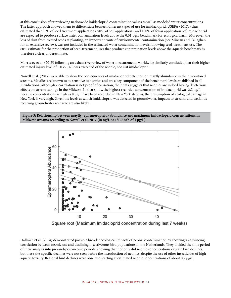at this conclusion after reviewing nationwide imidacloprid contamination values as well as modeled water concentrations. The latter approach allowed them to differentiate between different types of use for imidacloprid. USEPA (2017a) thus estimated that 60% of seed treatment applications, 90% of soil applications, and 100% of foliar applications of imidacloprid are expected to produce surface water contamination levels above the 0.01 µg/L benchmark for ecological harm. Moreover, the loss of dust from treated seeds at planting, an important route of environmental contamination (see Mineau and Callaghan for an extensive review), was not included in the estimated water contamination levels following seed-treatment use. The 60% estimate for the proportion of seed-treatment uses that produce contamination levels above the aquatic benchmark is therefore a clear underestimate.

Morrissey et al. (2015) following an exhaustive review of water measurements worldwide similarly concluded that their higher estimated injury level of 0.035 µg/L was exceeded of the neonic, not just imidacloprid.

Nowell et al. (2017) were able to show the consequences of imidacloprid detection on mayfly abundance in their monitored streams. Mayflies are known to be sensitive to neonics and are a key component of the benchmark levels established in all jurisdictions. Although a correlation is not proof of causation, their data suggests that neonics are indeed having deleterious effects on stream ecology in the Midwest. In that study, the highest recorded concentration of imidacloprid was 2.2 µg/L. Because concentrations as high as  $8 \mu g/L$  have been recorded in New York streams, the presumption of ecological damage in New York is very high. Given the levels at which imidacloprid was detected in groundwater, impacts to streams and wetlands receiving groundwater recharge are also likely.

**Figure 3: Relationship between mayfly (ephemeroptera) abundance and maximum imidacloprid concentrations in Midwest streams according to Nowell et al. 2017 (in ng/L or 1/1,000th of 1 µg/L)**



Square root (Maximum Imidacloprid concentration during last 7 weeks)

Hallman et al. (2014) demonstrated possible broader ecological impacts of neonic contamination by showing a convincing correlation between neonic use and declining insectivorous bird populations in the Netherlands. They divided the time period of their analysis into pre-and-post-neonic periods, showing that not only did neonic concentrations explain bird declines, but these site-specific declines were not seen before the introduction of neonics, despite the use of other insecticides of high aquatic toxicity. Regional bird declines were observed starting at estimated neonic concentrations of about 0.2 µg/L.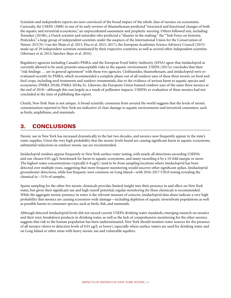Scientists and independent experts are now convinced of the broad impact of the whole class of neonics on ecosystems. Curiously, the USEPA (2008) in one of its early reviews of thiamethoxam predicted "structural and functional changes of both the aquatic and terrestrial ecosystems," an unprecedented assessment and prophetic warning. Others followed suit, including: Tennekes (2010b), a Dutch scientist and naturalist who predicted a "disaster in the making;" the "Task Force on Systemic Pesticides," a large group of independent scientists under the auspices of the International Union for the Conservation of Nature (IUCN) (van der Sluijs et al. 2015, Pisa et al. 2015, 2017); the European Academies Science Advisory Council (2015) made up of 29 independent scientists nominated by their respective countries; as well as several other independent scientists (Morissey et al. 2015; Sánchez-Bayo et al. 2016).

Regulatory agencies including Canada's PMRA, and the European Food Safety Authority (EFSA) agree that imidacloprid as currently allowed to be used, presents unacceptable risks to the aquatic environment. USEPA (2017a) concludes that their "risk findings … are in general agreement" with those two agencies. Clothianidin, thiamethoxam, and imidacloprid were reevaluated recently by PMRA, which recommended a complete phase out of all outdoor uses of these three neonic on food and feed crops, including seed treatments and outdoor ornamentals, due to the evidence of serious harm to aquatic species and ecosystems (PMRA 2016b; PMRA 2018a, b). Likewise, the European Union banned outdoor uses of the same three neonics at the end of 2018—although this was largely as a result of pollinator impacts. USEPA's re-evaluation of these neonics had not concluded at the time of publishing this report.

Clearly, New York State is not unique. A broad scientific consensus from around the world suggests that the levels of neonic contamination reported in New York are indicative of clear damage to aquatic environments and terrestrial consumers, such as birds, amphibians, and mammals.

# 3. CONCLUSIONS

Neonic use in New York has increased dramatically in the last two decades, and neonics now frequently appear in the state's water supplies. Given the very high probability that the neonic levels found are causing significant harm to aquatic ecosystems, substantial reductions in outdoor neonic use are recommended.

Imidacloprid residues appear frequently in New York surface water testing, with nearly all detections exceeding USEPA's and our chosen 0.01 µg/L benchmark for harm to aquatic ecosystems, and many exceeding it by a 10-fold margin or more. The highest water concentrations (typically 6-8 µg/L) tend to be from sampling locations where imidacloprid has been detected over multiple years, suggesting that more frequent monitoring would uncover other significant spikes. Imidacloprid groundwater detections, while less frequent, were common on Long Island—with 2016-2017 USGS testing revealing the chemical in ~31% of samples.

Sparse sampling for the other five neonic chemicals provides limited insight into their presence in and effect on New York water, but given their significant use and high runoff potential, regular monitoring for these chemicals is recommended. While the aggregate neonic presence in water is the relevant measure of concern, imidacloprid data alone indicate a very high probability that neonics are causing ecosystem-wide damage—including depletion of aquatic invertebrate populations as well as possible harms to consumer species, such as birds, fish, and mammals.

Although detected imidacloprid levels did not exceed current USEPA drinking water standards, emerging research on neonics and their toxic breakdown products in drinking water, as well as the lack of comprehensive monitoring for the other neonics suggests that risk to the human population has been underestimated. New York should monitor water sources for the presence of all neonics (down to detection levels of 0.01  $\mu$ g/L or lower), especially where surface waters are used for drinking water and on Long Island or other areas with heavy neonic use and vulnerable aquifers.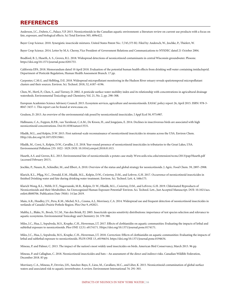### REFERENCES

Anderson, J.C., Dubetz, C., Palace, V.P. 2015. Neonicotinoids in the Canadian aquatic environment: a literature review on current use products with a focus on fate, exposure, and biological effects. Sci Total Environ 505, 409e422.

Bayer Crop Science. 2010. Synergistic insecticide mixtures. United States Patent No.: 7,745,375 B2. Filed by: Andersch, W., Jeschke, P., Thielert, W.

Bayer Crop Science. 2014. Letter by M.A. Cherny, Vice President of Government Relations and Communications to NYSDEC dated 21 October 2004.

Bradford, B. J., Huseth, A. S., Groves, R.L. 2018. Widespread detections of neonicotinoid contaminants in central Wisconsin groundwater. Plosone. [https://doi.org/10.1371/journal.pone.0201753.](https://doi.org/10.1371/journal.pone.0201753)

California EPA. 2018. Memorandum dated 10 April 2018. Evaluation of the potential human health effects from drinking well water containing imidacloprid. Department of Pesticide Regulation, Human Health Assessment Branch. 17 pp.

Carpenter, C.M.G. and Helbling, D.E. 2018. Widespread micropollutant monitoring in the Hudson River estuary reveals spatiotemporal micropollutant clusters and their sources. Environ. Sci. Technol. 2018, 52, 6187−6196.

Chen, W., Hertl, P., Chen, S., and Tierney, D. 2002. A pesticide surface water mobility index and its relationship with concentrations in agricultural drainage watersheds. Environmental Toxicology and Chemistry, Vol. 21, No. 2, pp. 298–308.

European Academies Science Advisory Council. 2015. Ecosystem services, agriculture and neonicotinoids. EASAC policy report 26, April 2015. ISBN: 978-3- 8047-3437-1. This report can be found at [www.easac.eu](http://www.easac.eu).

Goulson, D. 2013. An overview of the environmental risk posed by neonicotinoid insecticides. J Appl Ecol 50, 977e987.

Hallmann, C.A., Foppen, R.P.B., van Turnhout, C.A.M., De Kroon, H., and Jongejans, E. 2014. Declines in insectivorous birds are associated with high neonicotinoid concentrations. Doi:10.1038/nature13531.

Hladik, M.L., and Kolpin, D.W. 2015. First national-scale reconnaissance of neonicotinoid insecticides in streams across the USA. Environ Chem. [Http://dx.doi.org/10.1071/EN15061.](Http://dx.doi.org/10.1071/EN15061)

Hladik, M., Corsi, S., Kolpin, D.W., Cavallin, J. E. 2018. Year-round presence of neonicotinoid insecticides in tributaries to the Great Lakes, USA. Environmental Pollution 235: 1022- 1029. DOI: 10.1016/j.envpol.2018.01.013.

Huseth, A.S. and Groves, R.L. 2013. Environmental fate of neonicotinoids: a potato case study. [Www.soils.wisc.edu/extension/wcmc/2013/pap/Huseth.pdf](http://www.soils.wisc.edu/extension/wcmc/2013/pap/Huseth.pdf)  (accessed February 2013).

Jeschke, P., Nauen, R., Schindler, M., and Elbert, A. 2010. Overview of the status and global strategy for neonicotinoids. J. Agric. Food Chem. 59, 2897–2908.

Klarich, K.L., Pflµg, N.C., Dewald, E.M., Hladik, M.L., Kolpin, D.W., Cwiertny, D.M., and Lefevre, G.H. 2017. Occurrence of neonicotinoid insecticides in finished Drinking water and fate during drinking water treatment. Environ. Sci. Technol. Lett. 4, 168e173.

Klarich Wong, K.L., Webb, D.T., Nagorzanski, M.R., Kolpin, D. W., Hladik, M.L., Cwiertny, D.M., and LeFevre, G.H. 2019. Chlorinated Byproducts of Neonicotinoids and their Metabolites: An Unrecognized Human Exposure Potential? Environ. Sci. Technol. Lett., Just Accepted Manuscript. DOI: 10.1021/acs. estlett.8b00706. Publication Date (Web): 14 Jan 2019.

Main, A.R., Headley, J.V., Peru, K.M., Michel, N.L., Cessna, A.J., Morrissey, C.A. 2014. Widespread use and frequent detection of neonicotinoid insecticides in wetlands of Canada's Prairie Pothole Region. Plos One 9, e92821.

Maltby, L., Blake, N., Brock, T.C.M., Van den Brink, P.J. 2005. Insecticide species sensitivity distributions: importance of test species selection and relevance to aquatic ecosystems. Environmental Toxicology and Chemistry 24: 379-388.

Miles, J.C., Hua, J., Sepulveda, M.S., Krupke, C.H., Hoverman, J.T. 2017. Effects of clothianidin on aquatic communities: Evaluating the impacts of lethal and sublethal exposure to neonicotinoids. Plos ONE 12(3): e0174171. [Https://doi.org/10.1371/journal.pone.0174171](https://doi.org/10.1371/journal.pone.0174171).

Miles, J.C., Hua, J., Sepulveda, M.S., Krupke, C.H., Hoverman, J.T. 2018. Correction: Effects of clothianidin on aquatic communities: Evaluating the impacts of lethal and sublethal exposure to neonicotinoids. PLOS ONE 13, e0194634. <https://doi.org/10.1371/journal.pone.0194634>.

Mineau, P. and Palmer, C. 2013. The impact of the nation's most widely used insecticides on birds. American Bird Conservancy, March 2013. 96 pp.

Mineau, P. and Callaghan, C. 2018. Neonicotinoid insecticides and bats – An assessment of the direct and indirect risks. Canadian Wildlife Federation, December 2018. 83 pp.

Morrissey, C.A., Mineau, P., Devries, J.H., Sanchez-Bayo, F., Liess, M., Cavallaro, M.C., and Liber, K. 2015. Neonicotinoid contamination of global surface waters and associated risk to aquatic invertebrates: A review. Environment International 74: 291-303.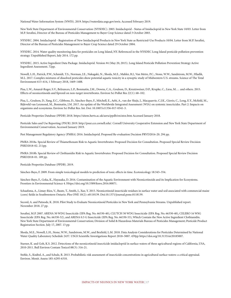National Water Information System (NWIS). 2019. [https://waterdata.usgs.gov/nwis.](https://waterdata.usgs.gov/nwis) Accessed February 2019.

New York State Department of Environmental Conservation (NYSDEC). 2003. Imidacloprid - Status of Imidacloprid in New York State 10/03. Letter from M.P. Serafini, Director of the Bureau of Pesticides Management to Bayer Crop Science dated 3 October 2003.

NYSDEC. 2004. Imidacloprid - Registration of New Imidacloprid Products in New York State as Restricted-Use Products 10/04. Letter from M.P. Serafini, Director of the Bureau of Pesticides Management to Bayer Crop Science dated 29 October 2004.

NYSDEC. 2014. Water quality monitoring data for pesticides on Long Island, NY. Referenced in the NYSDEC Long Island pesticide pollution prevention strategy. Unpublished Report, July 2014. 172 pp.

NYSDEC. 2015. Active Ingredient Data Package. Imidacloprid. Version #4 (May 20, 2015). Long Island Pesticide Pollution Prevention Strategy Active Ingredient Assessment. 72pp.

Nowell, L.H., Patrick, P.W., Schmidt, T.S., Norman, J.E., Nakagaki, N., Shoda, M.E., Mahler, B.J., Van Metre, P.C., Stone, W.W., Sandstrom, M.W., Hladik, M.L. 2017. Complex mixtures of dissolved pesticides show potential aquatic toxicity in a synoptic study of Midwestern U.S. streams. Science of The Total Environment 613–614, 1 February 2018, 1469-1488.

Pisa, L.W., Amaral-Roger, S.V., Belzunces, L.P., Bonmatin, J.M., Downs, C.A., Goulson, D., Kreutzweiser, D.P., Krupke, C., Liess, M.… and others. 2015. Effects of neonicotinoids and fipronil on non-target invertebrates. Environ Sci Pollut Res 22(1): 68–102.

Pisa, L., Goulson, D., Yang, E.C., Gibbons, D., Sánchez-Bayo, F., Mitchell, E., Aebi, A., van der Sluijs, J., Macquarrie, C.J.K., Giorio, C., Long, E.Y., Mcfield, M., Bijleveld van Lexmond, M., Bonmatin, J.M. 2017. An update of the Worldwide Integrated Assessment (WIA) on systemic insecticides. Part 2: Impacts on organisms and ecosystems. Environ Sci Pollut Res. Int. Doi: 10.1007/s11356-017-0341-3.

Pesticide Properties Database (PPDB) 2018.<https://sitem.herts.ac.uk/aeru/ppdb/en/atoz.htm> Accessed January 2018.

Pesticide Sales and Use Reporting (PSUR) 2019.<http://psur.cce.cornell.edu/>. Cornell University Cooperative Extension and New York State Department of Environmental Conservation. Accessed January 2019.

Pest Management Regulatory Agency (PMRA) 2016. Imidacloprid. Proposed Re-evaluation Decision PRVD2016-20. 294 pp.

PMRA 2018a. Special Review of Thiamethoxam Risk to Aquatic Invertebrates: Proposed Decision for Consultation. Proposed Special Review Decision PSRD2018-02. 211pp.

PMRA 2018b. Special Review of Clothianidin Risk to Aquatic Invertebrates: Proposed Decision for Consultation. Proposed Special Review Decision PSRD2018-01. 189 pp.

Pesticide Properties Database (PPDB). 2019.

Sánchez-Bayo, F. 2009. From simple toxicological models to prediction of toxic effects in time. Ecotoxicology 18:343–354.

Sánchez-Bayo, F., Goka, K., Hayasaka, D. 2016. Contamination of the Aquatic Environment with Neonicotinoids and its Implication for Ecosystems. Frontiers in Environmental Science 4. [Https://doi.org/10.3389/fenvs.2016.00071.](Https://doi.org/10.3389/fenvs.2016.00071)

Schaafsma, A., Limay-Rios, V., Baute, T., Smith, J., Xue, Y. 2015. Neonicotinoid insecticide residues in surface water and soil associated with commercial maize (corn) fields in Southwestern Ontario. Plos ONE 10(2): e0118139. Doi:10.1371/journal.pone.0118139.

Secord, A. and Patnode, K. 2018. Pilot Study to Evaluate Neonicotinoid Pesticides in New York and Pennsylvania Streams. Unpublished report. November 2018. 27 pp.

Serafini, M.P. 2007. ARENA 50 WDG Insecticide (EPA Reg. No. 66330-40), CLUTCH 50 WDG Insecticide (EPA Reg. No. 66330-40), CELERO 16 WSG Insecticide (EPA Reg. No. 66330-52), and ARENA 0.5 G Insecticide (EPA Reg. No. 66330-53), Which Contain the New Active Ingredient Clothianidin. New York State Department of Environmental Conservation; Division of Solid & Hazardous Materials Bureau of Pesticides Management; Pesticide Product Registration Section. July 17, 2007. 13 pp.

Shoda, M.E., Nowell, L.H., Stone, W.W., Sandstrom, M.W., and Bexfield, L.M. 2018. Data Analysis Considerations for Pesticides Determined by National Water Quality Laboratory Schedule 2437. USGS Scientific Investigations Report 2018–5007. 459pp [https://doi.org/10.3133/sir20185007.](https://doi.org/10.3133/sir20185007)

Starner, K. and Goh, K.S. 2012. Detections of the neonicotinoid insecticide imidacloprid in surface waters of three agricultural regions of California, USA, 2010-2011. Bull Environ Contam Toxicol 88(3): 316-21.

Stehle, S., Knäbel, A., and Schulz, R. 2013. Probabilistic risk assessment of insecticide concentrations in agricultural surface waters: a critical appraisal. Environ. Monit. Assess 185: 6295-6310.